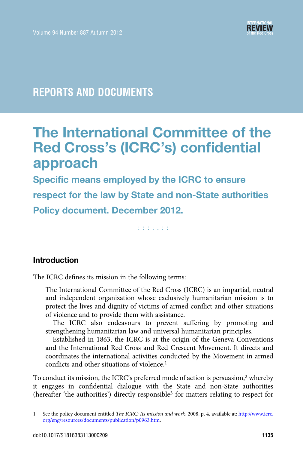

# REPORTS AND DOCUMENTS

# The International Committee of the Red Cross's (ICRC's) confidential approach

Specific means employed by the ICRC to ensure respect for the law by State and non-State authorities Policy document. December 2012.

**Editoria** 

## Introduction

The ICRC defines its mission in the following terms:

The International Committee of the Red Cross (ICRC) is an impartial, neutral and independent organization whose exclusively humanitarian mission is to protect the lives and dignity of victims of armed conflict and other situations of violence and to provide them with assistance.

The ICRC also endeavours to prevent suffering by promoting and strengthening humanitarian law and universal humanitarian principles.

Established in 1863, the ICRC is at the origin of the Geneva Conventions and the International Red Cross and Red Crescent Movement. It directs and coordinates the international activities conducted by the Movement in armed conflicts and other situations of violence.1

To conduct its mission, the ICRC's preferred mode of action is persuasion,2 whereby it engages in confidential dialogue with the State and non-State authorities (hereafter 'the authorities') directly responsible3 for matters relating to respect for

<sup>1</sup> See the policy document entitled The ICRC: Its mission and work, 2008, p. 4, available at: [http://www.icrc.](http://www.icrc.org/eng/resources/documents/publication/p0963.htm) [org/eng/resources/documents/publication/p0963.htm](http://www.icrc.org/eng/resources/documents/publication/p0963.htm).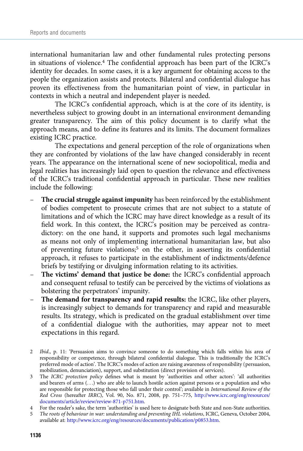international humanitarian law and other fundamental rules protecting persons in situations of violence.4 The confidential approach has been part of the ICRC's identity for decades. In some cases, it is a key argument for obtaining access to the people the organization assists and protects. Bilateral and confidential dialogue has proven its effectiveness from the humanitarian point of view, in particular in contexts in which a neutral and independent player is needed.

The ICRC's confidential approach, which is at the core of its identity, is nevertheless subject to growing doubt in an international environment demanding greater transparency. The aim of this policy document is to clarify what the approach means, and to define its features and its limits. The document formalizes existing ICRC practice.

The expectations and general perception of the role of organizations when they are confronted by violations of the law have changed considerably in recent years. The appearance on the international scene of new sociopolitical, media and legal realities has increasingly laid open to question the relevance and effectiveness of the ICRC's traditional confidential approach in particular. These new realities include the following:

- The crucial struggle against impunity has been reinforced by the establishment of bodies competent to prosecute crimes that are not subject to a statute of limitations and of which the ICRC may have direct knowledge as a result of its field work. In this context, the ICRC's position may be perceived as contradictory: on the one hand, it supports and promotes such legal mechanisms as means not only of implementing international humanitarian law, but also of preventing future violations;<sup>5</sup> on the other, in asserting its confidential approach, it refuses to participate in the establishment of indictments/defence briefs by testifying or divulging information relating to its activities.
- The victims*'* demand that justice be done: the ICRC's confidential approach and consequent refusal to testify can be perceived by the victims of violations as bolstering the perpetrators' impunity.
- The demand for transparency and rapid results: the ICRC, like other players, is increasingly subject to demands for transparency and rapid and measurable results. Its strategy, which is predicated on the gradual establishment over time of a confidential dialogue with the authorities, may appear not to meet expectations in this regard.
- 2 Ibid., p. 11: 'Persuasion aims to convince someone to do something which falls within his area of responsibility or competence, through bilateral confidential dialogue. This is traditionally the ICRC's preferred mode of action'. The ICRC's modes of action are raising awareness of responsibility (persuasion, mobilization, denunciation), support, and substitution (direct provision of services).
- 3 The ICRC protection policy defines what is meant by 'authorities and other actors': 'all authorities and bearers of arms (...) who are able to launch hostile action against persons or a population and who are responsible for protecting those who fall under their control'; available in International Review of the Red Cross (hereafter IRRC), Vol. 90, No. 871, 2008, pp. 751–775, [http://www.icrc.org/eng/resources/](http://www.icrc.org/eng/resources/documents/article/review/review-871-p751.htm) [documents/article/review/review-871-p751.htm](http://www.icrc.org/eng/resources/documents/article/review/review-871-p751.htm).
- 4 For the reader's sake, the term 'authorities' is used here to designate both State and non-State authorities.
- 5 The roots of behaviour in war: understanding and preventing IHL violations, ICRC, Geneva, October 2004, available at: [http://www.icrc.org/eng/resources/documents/publication/p0853.htm.](http://www.icrc.org/eng/resources/documents/publication/p0853.htm)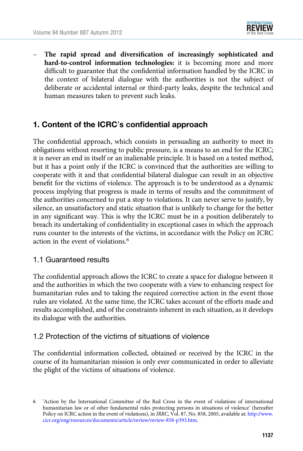– The rapid spread and diversification of increasingly sophisticated and hard-to-control information technologies: it is becoming more and more difficult to guarantee that the confidential information handled by the ICRC in the context of bilateral dialogue with the authorities is not the subject of deliberate or accidental internal or third-party leaks, despite the technical and human measures taken to prevent such leaks.

# 1. Content of the ICRC's confidential approach

The confidential approach, which consists in persuading an authority to meet its obligations without resorting to public pressure, is a means to an end for the ICRC; it is never an end in itself or an inalienable principle. It is based on a tested method, but it has a point only if the ICRC is convinced that the authorities are willing to cooperate with it and that confidential bilateral dialogue can result in an objective benefit for the victims of violence. The approach is to be understood as a dynamic process implying that progress is made in terms of results and the commitment of the authorities concerned to put a stop to violations. It can never serve to justify, by silence, an unsatisfactory and static situation that is unlikely to change for the better in any significant way. This is why the ICRC must be in a position deliberately to breach its undertaking of confidentiality in exceptional cases in which the approach runs counter to the interests of the victims, in accordance with the Policy on ICRC action in the event of violations.<sup>6</sup>

#### 1.1 Guaranteed results

The confidential approach allows the ICRC to create a space for dialogue between it and the authorities in which the two cooperate with a view to enhancing respect for humanitarian rules and to taking the required corrective action in the event those rules are violated. At the same time, the ICRC takes account of the efforts made and results accomplished, and of the constraints inherent in each situation, as it develops its dialogue with the authorities.

#### 1.2 Protection of the victims of situations of violence

The confidential information collected, obtained or received by the ICRC in the course of its humanitarian mission is only ever communicated in order to alleviate the plight of the victims of situations of violence.

<sup>6</sup> 'Action by the International Committee of the Red Cross in the event of violations of international humanitarian law or of other fundamental rules protecting persons in situations of violence' (hereafter Policy on ICRC action in the event of violations), in IRRC, Vol. 87, No. 858, 2005, available at: [http://www.](http://www.cicr.org/eng/resources/documents/article/review/review-858-p393.htm) [cicr.org/eng/resources/documents/article/review/review-858-p393.htm](http://www.cicr.org/eng/resources/documents/article/review/review-858-p393.htm).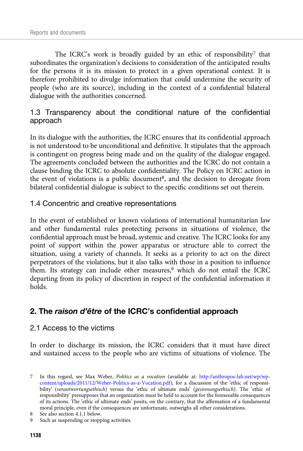The ICRC's work is broadly guided by an ethic of responsibility<sup>7</sup> that subordinates the organization's decisions to consideration of the anticipated results for the persons it is its mission to protect in a given operational context. It is therefore prohibited to divulge information that could undermine the security of people (who are its source), including in the context of a confidential bilateral dialogue with the authorities concerned.

#### 1.3 Transparency about the conditional nature of the confidential approach

In its dialogue with the authorities, the ICRC ensures that its confidential approach is not understood to be unconditional and definitive. It stipulates that the approach is contingent on progress being made and on the quality of the dialogue engaged. The agreements concluded between the authorities and the ICRC do not contain a clause binding the ICRC to absolute confidentiality. The Policy on ICRC action in the event of violations is a public document<sup>8</sup>, and the decision to derogate from bilateral confidential dialogue is subject to the specific conditions set out therein.

#### 1.4 Concentric and creative representations

In the event of established or known violations of international humanitarian law and other fundamental rules protecting persons in situations of violence, the confidential approach must be broad, systemic and creative. The ICRC looks for any point of support within the power apparatus or structure able to correct the situation, using a variety of channels. It seeks as a priority to act on the direct perpetrators of the violations, but it also talks with those in a position to influence them. Its strategy can include other measures,<sup>9</sup> which do not entail the ICRC departing from its policy of discretion in respect of the confidential information it holds.

# 2. The raison d*'*être of the ICRC's confidential approach

#### 2.1 Access to the victims

In order to discharge its mission, the ICRC considers that it must have direct and sustained access to the people who are victims of situations of violence. The

<sup>7</sup> In this regard, see Max Weber, Politics as a vocation (available at: [http://anthropos-lab.net/wp/wp](http://anthropos-lab.net/wp/wp-content/uploads/2011/12/Weber-Politics-as-a-Vocation.pdf)[content/uploads/2011/12/Weber-Politics-as-a-Vocation.pdf\)](http://anthropos-lab.net/wp/wp-content/uploads/2011/12/Weber-Politics-as-a-Vocation.pdf), for a discussion of the 'ethic of responsibility' (verantwortungsethisch) versus the 'ethic of ultimate ends' (gesinnungsethisch). The 'ethic of responsibility' presupposes that an organization must be held to account for the foreseeable consequences of its actions. The 'ethic of ultimate ends' posits, on the contrary, that the affirmation of a fundamental moral principle, even if the consequences are unfortunate, outweighs all other considerations.

<sup>8</sup> See also section 4.1.1 below.

<sup>9</sup> Such as suspending or stopping activities.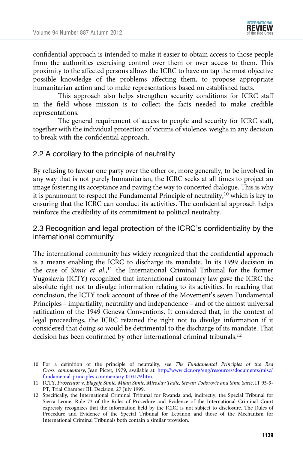confidential approach is intended to make it easier to obtain access to those people from the authorities exercising control over them or over access to them. This proximity to the affected persons allows the ICRC to have on tap the most objective possible knowledge of the problems affecting them, to propose appropriate humanitarian action and to make representations based on established facts.

This approach also helps strengthen security conditions for ICRC staff in the field whose mission is to collect the facts needed to make credible representations.

The general requirement of access to people and security for ICRC staff, together with the individual protection of victims of violence, weighs in any decision to break with the confidential approach.

#### 2.2 A corollary to the principle of neutrality

By refusing to favour one party over the other or, more generally, to be involved in any way that is not purely humanitarian, the ICRC seeks at all times to project an image fostering its acceptance and paving the way to concerted dialogue. This is why it is paramount to respect the Fundamental Principle of neutrality,<sup>10</sup> which is key to ensuring that the ICRC can conduct its activities. The confidential approach helps reinforce the credibility of its commitment to political neutrality.

#### 2.3 Recognition and legal protection of the ICRC's confidentiality by the international community

The international community has widely recognized that the confidential approach is a means enabling the ICRC to discharge its mandate. In its 1999 decision in the case of Simic et al.,<sup>11</sup> the International Criminal Tribunal for the former Yugoslavia (ICTY) recognized that international customary law gave the ICRC the absolute right not to divulge information relating to its activities. In reaching that conclusion, the ICTY took account of three of the Movement's seven Fundamental Principles – impartiality, neutrality and independence – and of the almost universal ratification of the 1949 Geneva Conventions. It considered that, in the context of legal proceedings, the ICRC retained the right not to divulge information if it considered that doing so would be detrimental to the discharge of its mandate. That decision has been confirmed by other international criminal tribunals.12

10 For a definition of the principle of neutrality, see The Fundamental Principles of the Red Cross: commentary, Jean Pictet, 1979, available at: [http://www.cicr.org/eng/resources/documents/misc/](http://www.cicr.org/eng/resources/documents/misc/fundamental-principles-commentary-010179.htm) [fundamental-principles-commentary-010179.htm](http://www.cicr.org/eng/resources/documents/misc/fundamental-principles-commentary-010179.htm).

<sup>11</sup> ICTY, Prosecutor v. Blagoje Simic, Milan Simic, Miroslav Tadic, Stevan Todorovic and Simo Saric, IT 95-9- PT, Trial Chamber III, Decision, 27 July 1999.

<sup>12</sup> Specifically, the International Criminal Tribunal for Rwanda and, indirectly, the Special Tribunal for Sierra Leone. Rule 73 of the Rules of Procedure and Evidence of the International Criminal Court expressly recognizes that the information held by the ICRC is not subject to disclosure. The Rules of Procedure and Evidence of the Special Tribunal for Lebanon and those of the Mechanism for International Criminal Tribunals both contain a similar provision.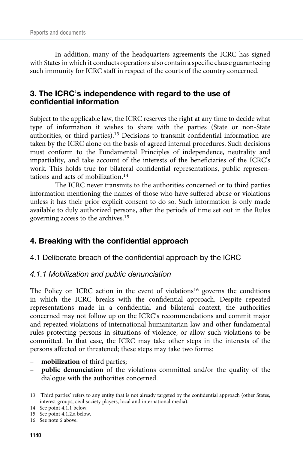In addition, many of the headquarters agreements the ICRC has signed with States in which it conducts operations also contain a specific clause guaranteeing such immunity for ICRC staff in respect of the courts of the country concerned.

#### 3. The ICRC's independence with regard to the use of confidential information

Subject to the applicable law, the ICRC reserves the right at any time to decide what type of information it wishes to share with the parties (State or non-State authorities, or third parties).13 Decisions to transmit confidential information are taken by the ICRC alone on the basis of agreed internal procedures. Such decisions must conform to the Fundamental Principles of independence, neutrality and impartiality, and take account of the interests of the beneficiaries of the ICRC's work. This holds true for bilateral confidential representations, public representations and acts of mobilization.14

The ICRC never transmits to the authorities concerned or to third parties information mentioning the names of those who have suffered abuse or violations unless it has their prior explicit consent to do so. Such information is only made available to duly authorized persons, after the periods of time set out in the Rules governing access to the archives.<sup>15</sup>

#### 4. Breaking with the confidential approach

4.1 Deliberate breach of the confidential approach by the ICRC

#### 4.1.1 Mobilization and public denunciation

The Policy on ICRC action in the event of violations<sup>16</sup> governs the conditions in which the ICRC breaks with the confidential approach. Despite repeated representations made in a confidential and bilateral context, the authorities concerned may not follow up on the ICRC's recommendations and commit major and repeated violations of international humanitarian law and other fundamental rules protecting persons in situations of violence, or allow such violations to be committed. In that case, the ICRC may take other steps in the interests of the persons affected or threatened; these steps may take two forms:

- mobilization of third parties;
- public denunciation of the violations committed and/or the quality of the dialogue with the authorities concerned.

<sup>13</sup> 'Third parties' refers to any entity that is not already targeted by the confidential approach (other States, interest groups, civil society players, local and international media).

<sup>14</sup> See point 4.1.1 below.

<sup>15</sup> See point 4.1.2.a below.

<sup>16</sup> See note 6 above.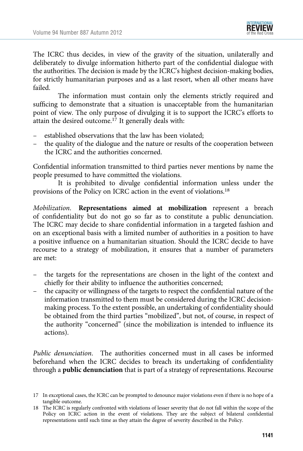The ICRC thus decides, in view of the gravity of the situation, unilaterally and deliberately to divulge information hitherto part of the confidential dialogue with the authorities. The decision is made by the ICRC's highest decision-making bodies, for strictly humanitarian purposes and as a last resort, when all other means have failed.

The information must contain only the elements strictly required and sufficing to demonstrate that a situation is unacceptable from the humanitarian point of view. The only purpose of divulging it is to support the ICRC's efforts to attain the desired outcome.17 It generally deals with:

- established observations that the law has been violated;
- the quality of the dialogue and the nature or results of the cooperation between the ICRC and the authorities concerned.

Confidential information transmitted to third parties never mentions by name the people presumed to have committed the violations.

It is prohibited to divulge confidential information unless under the provisions of the Policy on ICRC action in the event of violations.18

Mobilization. Representations aimed at mobilization represent a breach of confidentiality but do not go so far as to constitute a public denunciation. The ICRC may decide to share confidential information in a targeted fashion and on an exceptional basis with a limited number of authorities in a position to have a positive influence on a humanitarian situation. Should the ICRC decide to have recourse to a strategy of mobilization, it ensures that a number of parameters are met:

- the targets for the representations are chosen in the light of the context and chiefly for their ability to influence the authorities concerned;
- the capacity or willingness of the targets to respect the confidential nature of the information transmitted to them must be considered during the ICRC decisionmaking process. To the extent possible, an undertaking of confidentiality should be obtained from the third parties "mobilized", but not, of course, in respect of the authority "concerned" (since the mobilization is intended to influence its actions).

Public denunciation. The authorities concerned must in all cases be informed beforehand when the ICRC decides to breach its undertaking of confidentiality through a public denunciation that is part of a strategy of representations. Recourse

<sup>17</sup> In exceptional cases, the ICRC can be prompted to denounce major violations even if there is no hope of a tangible outcome.

<sup>18</sup> The ICRC is regularly confronted with violations of lesser severity that do not fall within the scope of the Policy on ICRC action in the event of violations. They are the subject of bilateral confidential representations until such time as they attain the degree of severity described in the Policy.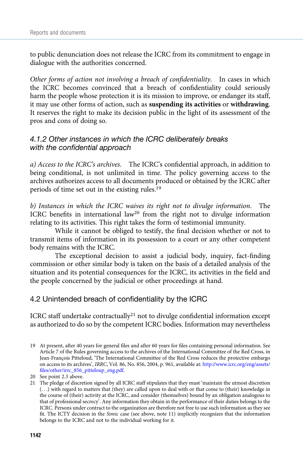to public denunciation does not release the ICRC from its commitment to engage in dialogue with the authorities concerned.

Other forms of action not involving a breach of confidentiality. In cases in which the ICRC becomes convinced that a breach of confidentiality could seriously harm the people whose protection it is its mission to improve, or endanger its staff, it may use other forms of action, such as suspending its activities or withdrawing. It reserves the right to make its decision public in the light of its assessment of the pros and cons of doing so.

#### 4.1.2 Other instances in which the ICRC deliberately breaks with the confidential approach

a) Access to the ICRC*'*s archives. The ICRC's confidential approach, in addition to being conditional, is not unlimited in time. The policy governing access to the archives authorizes access to all documents produced or obtained by the ICRC after periods of time set out in the existing rules.19

b) Instances in which the ICRC waives its right not to divulge information. The ICRC benefits in international law20 from the right not to divulge information relating to its activities. This right takes the form of testimonial immunity.

While it cannot be obliged to testify, the final decision whether or not to transmit items of information in its possession to a court or any other competent body remains with the ICRC.

The exceptional decision to assist a judicial body, inquiry, fact-finding commission or other similar body is taken on the basis of a detailed analysis of the situation and its potential consequences for the ICRC, its activities in the field and the people concerned by the judicial or other proceedings at hand.

# 4.2 Unintended breach of confidentiality by the ICRC

ICRC staff undertake contractually<sup>21</sup> not to divulge confidential information except as authorized to do so by the competent ICRC bodies. Information may nevertheless

<sup>19</sup> At present, after 40 years for general files and after 60 years for files containing personal information. See Article 7 of the Rules governing access to the archives of the International Committee of the Red Cross, in Jean-François Pitteloud, 'The International Committee of the Red Cross reduces the protective embargo on access to its archives', IRRC, Vol. 86, No. 856, 2004, p. 961, available at: [http://www.icrc.org/eng/assets/](http://www.icrc.org/eng/assets/files/other/irrc_856_pitteloup_eng.pdf) fi[les/other/irrc\\_856\\_pitteloup\\_eng.pdf.](http://www.icrc.org/eng/assets/files/other/irrc_856_pitteloup_eng.pdf)

<sup>20</sup> See point 2.3 above.

<sup>21</sup> The pledge of discretion signed by all ICRC staff stipulates that they must 'maintain the utmost discretion (...) with regard to matters that (they) are called upon to deal with or that come to (their) knowledge in the course of (their) activity at the ICRC, and consider (themselves) bound by an obligation analogous to that of professional secrecy'. Any information they obtain in the performance of their duties belongs to the ICRC. Persons under contract to the organization are therefore not free to use such information as they see fit. The ICTY decision in the Simic case (see above, note 11) implicitly recognizes that the information belongs to the ICRC and not to the individual working for it.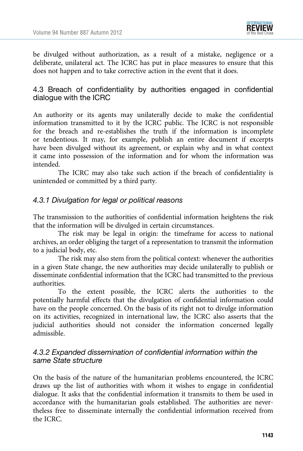

be divulged without authorization, as a result of a mistake, negligence or a deliberate, unilateral act. The ICRC has put in place measures to ensure that this does not happen and to take corrective action in the event that it does.

#### 4.3 Breach of confidentiality by authorities engaged in confidential dialogue with the ICRC

An authority or its agents may unilaterally decide to make the confidential information transmitted to it by the ICRC public. The ICRC is not responsible for the breach and re-establishes the truth if the information is incomplete or tendentious. It may, for example, publish an entire document if excerpts have been divulged without its agreement, or explain why and in what context it came into possession of the information and for whom the information was intended.

The ICRC may also take such action if the breach of confidentiality is unintended or committed by a third party.

#### 4.3.1 Divulgation for legal or political reasons

The transmission to the authorities of confidential information heightens the risk that the information will be divulged in certain circumstances.

The risk may be legal in origin: the timeframe for access to national archives, an order obliging the target of a representation to transmit the information to a judicial body, etc.

The risk may also stem from the political context: whenever the authorities in a given State change, the new authorities may decide unilaterally to publish or disseminate confidential information that the ICRC had transmitted to the previous authorities.

To the extent possible, the ICRC alerts the authorities to the potentially harmful effects that the divulgation of confidential information could have on the people concerned. On the basis of its right not to divulge information on its activities, recognized in international law, the ICRC also asserts that the judicial authorities should not consider the information concerned legally admissible.

#### 4.3.2 Expanded dissemination of confidential information within the same State structure

On the basis of the nature of the humanitarian problems encountered, the ICRC draws up the list of authorities with whom it wishes to engage in confidential dialogue. It asks that the confidential information it transmits to them be used in accordance with the humanitarian goals established. The authorities are nevertheless free to disseminate internally the confidential information received from the ICRC.